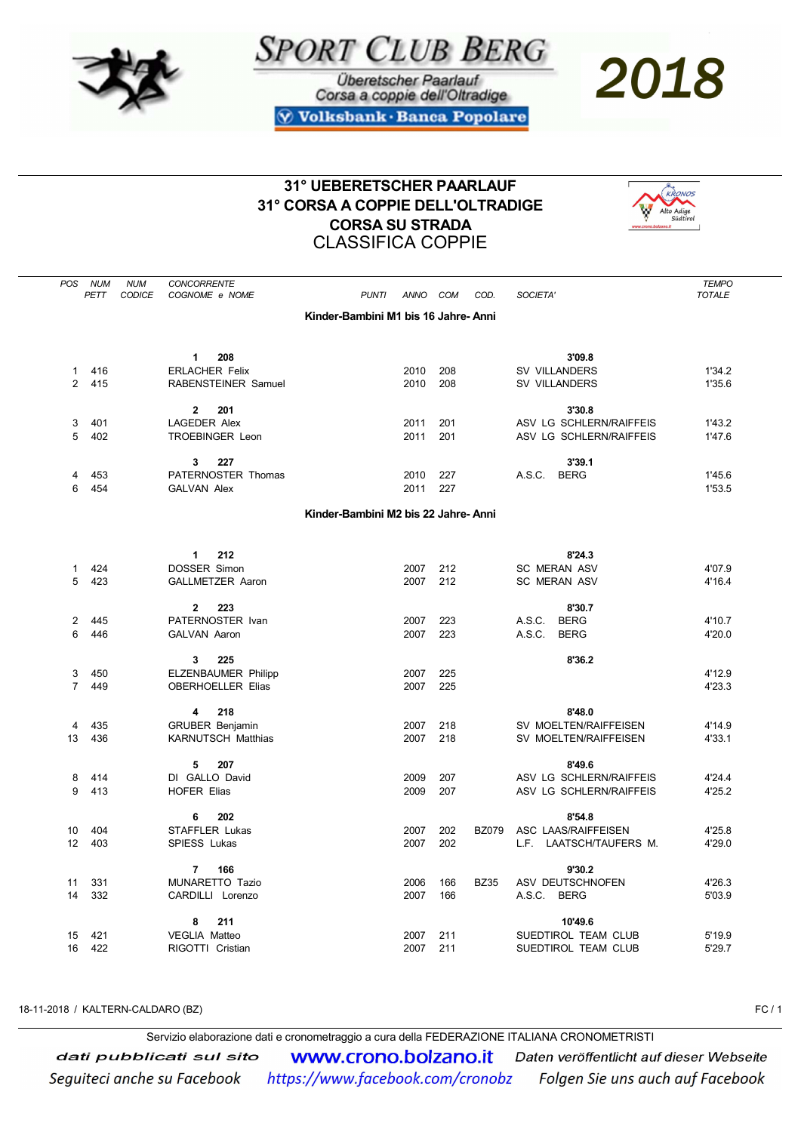



Überetscher Paarlauf Corsa a coppie dell'Oltradige **Volksbank · Banca Popolare**  2018

## 31° UEBERETSCHER PAARLAUF 31° CORSA A COPPIE DELL'OLTRADIGE CORSA SU STRADA CLASSIFICA COPPIE



| POS            | <b>NUM</b> | <b>NUM</b>    | <b>CONCORRENTE</b>                           |                                      |             |     |              |                                   | <b>TEMPO</b>  |
|----------------|------------|---------------|----------------------------------------------|--------------------------------------|-------------|-----|--------------|-----------------------------------|---------------|
|                | PETT       | <b>CODICE</b> | COGNOME e NOME                               | <b>PUNTI</b>                         | <b>ANNO</b> | COM | COD.         | SOCIETA'                          | <b>TOTALE</b> |
|                |            |               |                                              | Kinder-Bambini M1 bis 16 Jahre- Anni |             |     |              |                                   |               |
|                |            |               |                                              |                                      |             |     |              |                                   |               |
|                |            |               |                                              |                                      |             |     |              |                                   |               |
| $\mathbf{1}$   | 416        |               | $\mathbf{1}$<br>208<br><b>ERLACHER Felix</b> |                                      | 2010        | 208 |              | 3'09.8<br><b>SV VILLANDERS</b>    | 1'34.2        |
| $\overline{2}$ | 415        |               | RABENSTEINER Samuel                          |                                      | 2010        | 208 |              | <b>SV VILLANDERS</b>              | 1'35.6        |
|                |            |               |                                              |                                      |             |     |              |                                   |               |
|                |            |               | $\overline{2}$<br>201                        |                                      |             |     |              | 3'30.8                            |               |
| 3              | 401        |               | <b>LAGEDER Alex</b>                          |                                      | 2011        | 201 |              | ASV LG SCHLERN/RAIFFEIS           | 1'43.2        |
| 5              | 402        |               | <b>TROEBINGER Leon</b>                       |                                      | 2011        | 201 |              | ASV LG SCHLERN/RAIFFEIS           | 1'47.6        |
|                |            |               | 3<br>227                                     |                                      |             |     |              | 3'39.1                            |               |
| 4              | 453        |               | PATERNOSTER Thomas                           |                                      | 2010        | 227 |              | A.S.C.<br><b>BERG</b>             | 1'45.6        |
| 6              | 454        |               | <b>GALVAN Alex</b>                           |                                      | 2011        | 227 |              |                                   | 1'53.5        |
|                |            |               |                                              |                                      |             |     |              |                                   |               |
|                |            |               |                                              | Kinder-Bambini M2 bis 22 Jahre- Anni |             |     |              |                                   |               |
|                |            |               |                                              |                                      |             |     |              |                                   |               |
|                |            |               | $\mathbf{1}$<br>212                          |                                      |             |     |              | 8'24.3                            |               |
| $\mathbf{1}$   | 424        |               | DOSSER Simon                                 |                                      | 2007        | 212 |              | <b>SC MERAN ASV</b>               | 4'07.9        |
| 5              | 423        |               | <b>GALLMETZER Aaron</b>                      |                                      | 2007        | 212 |              | <b>SC MERAN ASV</b>               | 4'16.4        |
|                |            |               |                                              |                                      |             |     |              |                                   |               |
| 2              | 445        |               | 223<br>2<br>PATERNOSTER Ivan                 |                                      | 2007        | 223 |              | 8'30.7<br>A.S.C.<br><b>BERG</b>   | 4'10.7        |
| 6              | 446        |               | <b>GALVAN Aaron</b>                          |                                      | 2007        | 223 |              | A.S.C.<br><b>BERG</b>             | 4'20.0        |
|                |            |               |                                              |                                      |             |     |              |                                   |               |
|                |            |               | 3<br>225                                     |                                      |             |     |              | 8'36.2                            |               |
| 3              | 450        |               | <b>ELZENBAUMER Philipp</b>                   |                                      | 2007        | 225 |              |                                   | 4'12.9        |
| $\overline{7}$ | 449        |               | <b>OBERHOELLER Elias</b>                     |                                      | 2007        | 225 |              |                                   | 4'23.3        |
|                |            |               | 4<br>218                                     |                                      |             |     |              | 8'48.0                            |               |
| 4              | 435        |               | <b>GRUBER Benjamin</b>                       |                                      | 2007        | 218 |              | SV MOELTEN/RAIFFEISEN             | 4'14.9        |
| 13             | 436        |               | <b>KARNUTSCH Matthias</b>                    |                                      | 2007        | 218 |              | SV MOELTEN/RAIFFEISEN             | 4'33.1        |
|                |            |               |                                              |                                      |             |     |              |                                   |               |
| 8              | 414        |               | 5<br>207<br>DI GALLO David                   |                                      | 2009        | 207 |              | 8'49.6<br>ASV LG SCHLERN/RAIFFEIS | 4'24.4        |
| 9              | 413        |               | <b>HOFER Elias</b>                           |                                      | 2009        | 207 |              | ASV LG SCHLERN/RAIFFEIS           | 4'25.2        |
|                |            |               |                                              |                                      |             |     |              |                                   |               |
|                |            |               | 202<br>6                                     |                                      |             |     |              | 8'54.8                            |               |
| 10             | 404        |               | STAFFLER Lukas                               |                                      | 2007        | 202 | <b>BZ079</b> | ASC LAAS/RAIFFEISEN               | 4'25.8        |
| 12             | 403        |               | SPIESS Lukas                                 |                                      | 2007        | 202 |              | L.F. LAATSCH/TAUFERS M.           | 4'29.0        |
|                |            |               | 7<br>166                                     |                                      |             |     |              | 9'30.2                            |               |
| 11             | 331        |               | MUNARETTO Tazio                              |                                      | 2006        | 166 | <b>BZ35</b>  | ASV DEUTSCHNOFEN                  | 4'26.3        |
| 14             | 332        |               | CARDILLI Lorenzo                             |                                      | 2007        | 166 |              | A.S.C.<br><b>BERG</b>             | 5'03.9        |
|                |            |               | 8<br>211                                     |                                      |             |     |              | 10'49.6                           |               |
| 15             | 421        |               | VEGLIA Matteo                                |                                      | 2007        | 211 |              | SUEDTIROL TEAM CLUB               | 5'19.9        |
| 16             | 422        |               | RIGOTTI Cristian                             |                                      | 2007        | 211 |              | SUEDTIROL TEAM CLUB               | 5'29.7        |
|                |            |               |                                              |                                      |             |     |              |                                   |               |

18-11-2018 / KALTERN-CALDARO (BZ) FC / 1

Servizio elaborazione dati e cronometraggio a cura della FEDERAZIONE ITALIANA CRONOMETRISTI

dati pubblicati sul sito www.crono.bolzano.it Daten veröffentlicht auf dieser Webseite Seguiteci anche su Facebook https://www.facebook.com/cronobz Folgen Sie uns auch auf Facebook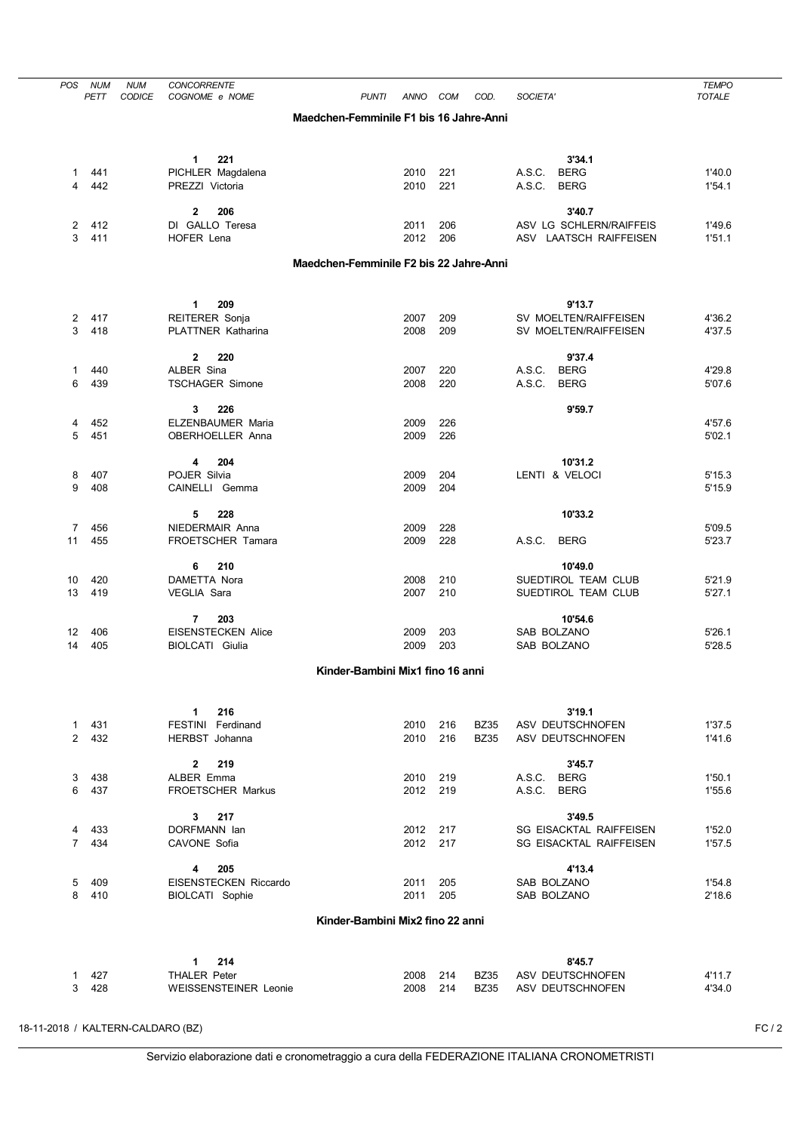| POS                            | <b>NUM</b><br>PETT | <b>NUM</b><br>CODICE | <b>CONCORRENTE</b><br>COGNOME e NOME                | <b>PUNTI</b>                            | ANNO         | COM        | COD.                       | SOCIETA'                             | <b>TEMPO</b><br><b>TOTALE</b> |
|--------------------------------|--------------------|----------------------|-----------------------------------------------------|-----------------------------------------|--------------|------------|----------------------------|--------------------------------------|-------------------------------|
|                                |                    |                      |                                                     | Maedchen-Femminile F1 bis 16 Jahre-Anni |              |            |                            |                                      |                               |
|                                |                    |                      |                                                     |                                         |              |            |                            |                                      |                               |
|                                |                    |                      | 1<br>221                                            |                                         |              |            |                            | 3'34.1                               |                               |
| 1                              | 441                |                      | PICHLER Magdalena                                   |                                         | 2010         | 221        |                            | <b>BERG</b><br>A.S.C.                | 1'40.0                        |
| 4                              | 442                |                      | PREZZI Victoria                                     |                                         | 2010         | 221        |                            | A.S.C.<br><b>BERG</b>                | 1'54.1                        |
|                                |                    |                      | $\mathbf{2}$<br>206                                 |                                         |              |            |                            | 3'40.7                               |                               |
| 2                              | 412                |                      | DI GALLO Teresa                                     |                                         | 2011         | 206        |                            | ASV LG SCHLERN/RAIFFEIS              | 1'49.6                        |
| 3                              | 411                |                      | HOFER Lena                                          |                                         | 2012         | 206        |                            | ASV LAATSCH RAIFFEISEN               | 1'51.1                        |
|                                |                    |                      |                                                     | Maedchen-Femminile F2 bis 22 Jahre-Anni |              |            |                            |                                      |                               |
|                                |                    |                      |                                                     |                                         |              |            |                            |                                      |                               |
|                                |                    |                      | 1<br>209                                            |                                         |              |            |                            | 9'13.7                               |                               |
| 2                              | 417                |                      | REITERER Sonja                                      |                                         | 2007         | 209        |                            | SV MOELTEN/RAIFFEISEN                | 4'36.2                        |
| 3                              | 418                |                      | PLATTNER Katharina                                  |                                         | 2008         | 209        |                            | SV MOELTEN/RAIFFEISEN                | 4'37.5                        |
|                                |                    |                      | $\mathbf{2}$<br>220                                 |                                         |              |            |                            | 9'37.4                               |                               |
| 1                              | 440                |                      | ALBER Sina                                          |                                         | 2007         | 220        |                            | A.S.C.<br><b>BERG</b>                | 4'29.8                        |
| 6                              | 439                |                      | <b>TSCHAGER Simone</b>                              |                                         | 2008         | 220        |                            | A.S.C.<br><b>BERG</b>                | 5'07.6                        |
|                                |                    |                      | 226<br>3                                            |                                         |              |            |                            | 9'59.7                               |                               |
| 4                              | 452                |                      | ELZENBAUMER Maria                                   |                                         | 2009         | 226        |                            |                                      | 4'57.6                        |
| 5                              | 451                |                      | OBERHOELLER Anna                                    |                                         | 2009         | 226        |                            |                                      | 5'02.1                        |
|                                |                    |                      | 204<br>4                                            |                                         |              |            |                            | 10'31.2                              |                               |
| 8                              | 407                |                      | POJER Silvia                                        |                                         | 2009         | 204        |                            | LENTI & VELOCI                       | 5'15.3                        |
| 9                              | 408                |                      | CAINELLI Gemma                                      |                                         | 2009         | 204        |                            |                                      | 5'15.9                        |
|                                |                    |                      | 228<br>5                                            |                                         |              |            |                            | 10'33.2                              |                               |
| 7                              | 456                |                      | NIEDERMAIR Anna                                     |                                         | 2009         | 228        |                            |                                      | 5'09.5                        |
| 11                             | 455                |                      | FROETSCHER Tamara                                   |                                         | 2009         | 228        |                            | A.S.C.<br><b>BERG</b>                | 5'23.7                        |
|                                |                    |                      | 210<br>6                                            |                                         |              |            |                            | 10'49.0                              |                               |
| 10                             | 420                |                      | DAMETTA Nora                                        |                                         | 2008         | 210        |                            | SUEDTIROL TEAM CLUB                  | 5'21.9                        |
| 13                             | 419                |                      | VEGLIA Sara                                         |                                         | 2007         | 210        |                            | SUEDTIROL TEAM CLUB                  | 5'27.1                        |
|                                |                    |                      | 203<br>7                                            |                                         |              |            |                            | 10'54.6                              |                               |
| 12                             | 406                |                      | <b>EISENSTECKEN Alice</b>                           |                                         | 2009         | 203        |                            | SAB BOLZANO                          | 5'26.1                        |
| 14                             | 405                |                      | <b>BIOLCATI Giulia</b>                              |                                         | 2009         | 203        |                            | SAB BOLZANO                          | 5'28.5                        |
|                                |                    |                      |                                                     | Kinder-Bambini Mix1 fino 16 anni        |              |            |                            |                                      |                               |
|                                |                    |                      |                                                     |                                         |              |            |                            |                                      |                               |
|                                |                    |                      | 216<br>$\mathbf 1$                                  |                                         |              |            |                            | 3'19.1                               |                               |
| $\mathbf{1}$<br>$\overline{2}$ | 431<br>432         |                      | FESTINI Ferdinand                                   |                                         | 2010         | 216<br>216 | <b>BZ35</b>                | ASV DEUTSCHNOFEN                     | 1'37.5                        |
|                                |                    |                      | HERBST Johanna                                      |                                         | 2010         |            | <b>BZ35</b>                | ASV DEUTSCHNOFEN                     | 1'41.6                        |
|                                |                    |                      | 219<br>$\mathbf{2}$                                 |                                         |              |            |                            | 3'45.7                               |                               |
| 3                              | 438                |                      | ALBER Emma                                          |                                         | 2010         | 219        |                            | A.S.C.<br><b>BERG</b>                | 1'50.1                        |
| 6                              | 437                |                      | FROETSCHER Markus                                   |                                         | 2012 219     |            |                            | A.S.C.<br><b>BERG</b>                | 1'55.6                        |
|                                |                    |                      | 217<br>3                                            |                                         |              |            |                            | 3'49.5                               |                               |
| 4                              | 433                |                      | DORFMANN Ian                                        |                                         | 2012         | 217        |                            | <b>SG EISACKTAL RAIFFEISEN</b>       | 1'52.0                        |
| $7^{\circ}$                    | 434                |                      | CAVONE Sofia                                        |                                         | 2012         | 217        |                            | <b>SG EISACKTAL RAIFFEISEN</b>       | 1'57.5                        |
|                                |                    |                      | 205<br>4                                            |                                         |              |            |                            | 4'13.4                               |                               |
| 5                              | 409                |                      | EISENSTECKEN Riccardo                               |                                         | 2011         | 205        |                            | SAB BOLZANO                          | 1'54.8                        |
| 8                              | 410                |                      | BIOLCATI Sophie                                     |                                         | 2011         | 205        |                            | SAB BOLZANO                          | 2'18.6                        |
|                                |                    |                      |                                                     | Kinder-Bambini Mix2 fino 22 anni        |              |            |                            |                                      |                               |
|                                |                    |                      |                                                     |                                         |              |            |                            |                                      |                               |
|                                |                    |                      | 214<br>$\mathbf 1$                                  |                                         |              |            |                            | 8'45.7                               |                               |
| $\mathbf{1}$<br>3              | 427<br>428         |                      | <b>THALER Peter</b><br><b>WEISSENSTEINER Leonie</b> |                                         | 2008<br>2008 | 214<br>214 | <b>BZ35</b><br><b>BZ35</b> | ASV DEUTSCHNOFEN<br>ASV DEUTSCHNOFEN | 4'11.7<br>4'34.0              |
|                                |                    |                      |                                                     |                                         |              |            |                            |                                      |                               |

18-11-2018 / KALTERN-CALDARO (BZ) 6 (BZ)

Servizio elaborazione dati e cronometraggio a cura della FEDERAZIONE ITALIANA CRONOMETRISTI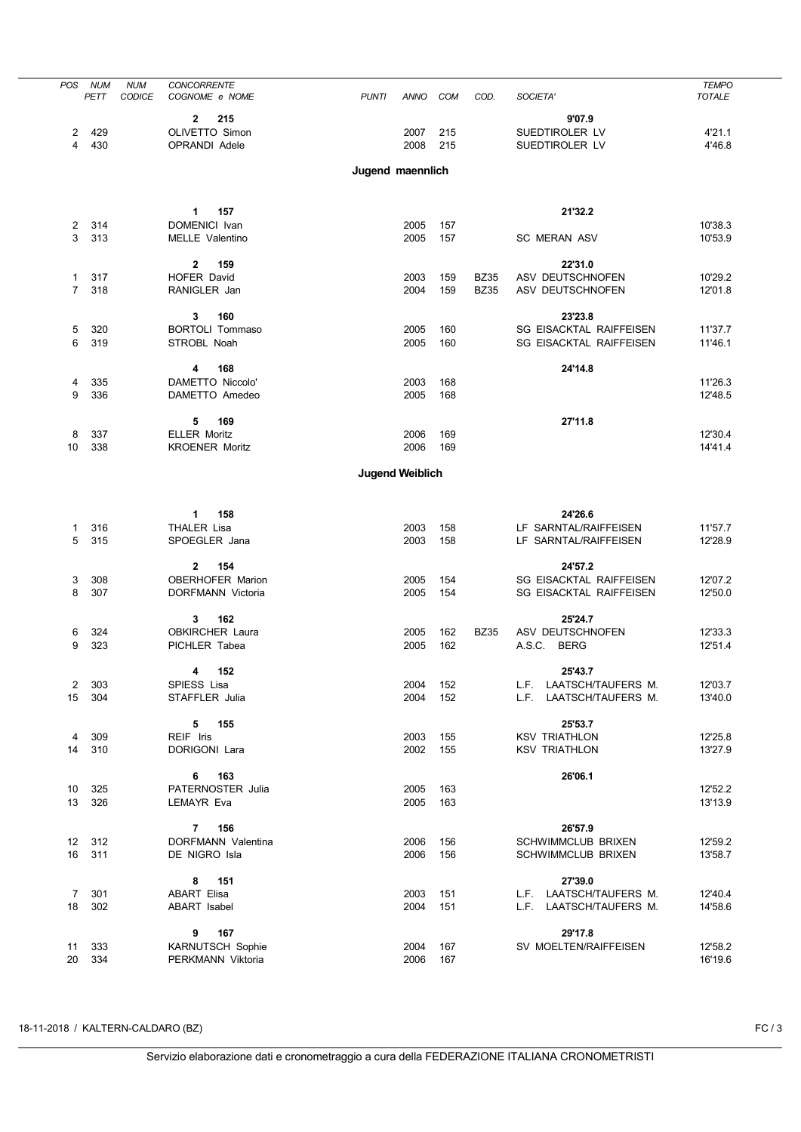| <b>POS</b>          | <b>NUM</b> | <b>NUM</b>    | <b>CONCORRENTE</b>                                 |              |                        |            |             |                                                        | <b>TEMPO</b>       |
|---------------------|------------|---------------|----------------------------------------------------|--------------|------------------------|------------|-------------|--------------------------------------------------------|--------------------|
|                     | PETT       | <b>CODICE</b> | COGNOME e NOME                                     | <b>PUNTI</b> | ANNO                   | COM        | COD.        | SOCIETA'                                               | <b>TOTALE</b>      |
|                     |            |               |                                                    |              |                        |            |             |                                                        |                    |
|                     | 429        |               | 215<br>$\mathbf{2}$<br>OLIVETTO Simon              |              | 2007                   | 215        |             | 9'07.9<br>SUEDTIROLER LV                               |                    |
| 2<br>4              | 430        |               | OPRANDI Adele                                      |              | 2008                   | 215        |             | SUEDTIROLER LV                                         | 4'21.1<br>4'46.8   |
|                     |            |               |                                                    |              |                        |            |             |                                                        |                    |
|                     |            |               |                                                    |              | Jugend maennlich       |            |             |                                                        |                    |
|                     |            |               |                                                    |              |                        |            |             |                                                        |                    |
|                     |            |               |                                                    |              |                        |            |             |                                                        |                    |
|                     |            |               | 157<br>1                                           |              |                        |            |             | 21'32.2                                                |                    |
| 2                   | 314        |               | DOMENICI Ivan                                      |              | 2005                   | 157        |             |                                                        | 10'38.3            |
| 3                   | 313        |               | <b>MELLE Valentino</b>                             |              | 2005                   | 157        |             | <b>SC MERAN ASV</b>                                    | 10'53.9            |
|                     |            |               |                                                    |              |                        |            |             |                                                        |                    |
|                     |            |               | $\mathbf{2}$<br>159                                |              |                        |            |             | 22'31.0                                                |                    |
| 1<br>$\overline{7}$ | 317<br>318 |               | <b>HOFER David</b>                                 |              | 2003                   | 159        | <b>BZ35</b> | ASV DEUTSCHNOFEN                                       | 10'29.2            |
|                     |            |               | RANIGLER Jan                                       |              | 2004                   | 159        | <b>BZ35</b> | ASV DEUTSCHNOFEN                                       | 12'01.8            |
|                     |            |               | 3<br>160                                           |              |                        |            |             | 23'23.8                                                |                    |
| 5                   | 320        |               | <b>BORTOLI Tommaso</b>                             |              | 2005                   | 160        |             | <b>SG EISACKTAL RAIFFEISEN</b>                         | 11'37.7            |
| 6                   | 319        |               | STROBL Noah                                        |              | 2005                   | 160        |             | SG EISACKTAL RAIFFEISEN                                | 11'46.1            |
|                     |            |               |                                                    |              |                        |            |             |                                                        |                    |
|                     |            |               | 168<br>4                                           |              |                        |            |             | 24'14.8                                                |                    |
| 4                   | 335        |               | DAMETTO Niccolo'                                   |              | 2003                   | 168        |             |                                                        | 11'26.3            |
| 9                   | 336        |               | DAMETTO Amedeo                                     |              | 2005                   | 168        |             |                                                        | 12'48.5            |
|                     |            |               |                                                    |              |                        |            |             |                                                        |                    |
|                     | 337        |               | 5<br>169<br><b>ELLER Moritz</b>                    |              | 2006                   | 169        |             | 27'11.8                                                | 12'30.4            |
| 8<br>10             | 338        |               | <b>KROENER Moritz</b>                              |              | 2006                   | 169        |             |                                                        | 14'41.4            |
|                     |            |               |                                                    |              |                        |            |             |                                                        |                    |
|                     |            |               |                                                    |              | <b>Jugend Weiblich</b> |            |             |                                                        |                    |
|                     |            |               |                                                    |              |                        |            |             |                                                        |                    |
|                     |            |               |                                                    |              |                        |            |             |                                                        |                    |
|                     |            |               | $\mathbf{1}$<br>158                                |              |                        |            |             | 24'26.6                                                |                    |
| 1                   | 316        |               | THALER Lisa                                        |              | 2003                   | 158        |             | LF SARNTAL/RAIFFEISEN                                  | 11'57.7            |
| 5                   | 315        |               | SPOEGLER Jana                                      |              | 2003                   | 158        |             | LF SARNTAL/RAIFFEISEN                                  | 12'28.9            |
|                     |            |               |                                                    |              |                        |            |             |                                                        |                    |
|                     | 308        |               | $\mathbf{2}$<br>154<br><b>OBERHOFER Marion</b>     |              |                        |            |             | 24'57.2<br>SG EISACKTAL RAIFFEISEN                     | 12'07.2            |
| 3<br>8              | 307        |               | DORFMANN Victoria                                  |              | 2005<br>2005           | 154<br>154 |             | SG EISACKTAL RAIFFEISEN                                | 12'50.0            |
|                     |            |               |                                                    |              |                        |            |             |                                                        |                    |
|                     |            |               | 162<br>3                                           |              |                        |            |             | 25'24.7                                                |                    |
| 6                   | 324        |               | <b>OBKIRCHER Laura</b>                             |              | 2005                   | 162        | <b>BZ35</b> | ASV DEUTSCHNOFEN                                       | 12'33.3            |
| 9                   | 323        |               | PICHLER Tabea                                      |              | 2005                   | 162        |             | A.S.C.<br><b>BERG</b>                                  | 12'51.4            |
|                     |            |               |                                                    |              |                        |            |             |                                                        |                    |
|                     |            |               | 152<br>4                                           |              |                        |            |             | 25'43.7                                                |                    |
| 2                   | 303        |               | SPIESS Lisa                                        |              | 2004                   | 152        |             | L.F. LAATSCH/TAUFERS M.                                | 12'03.7            |
| 15                  | 304        |               | STAFFLER Julia                                     |              | 2004                   | 152        |             | L.F. LAATSCH/TAUFERS M.                                | 13'40.0            |
|                     |            |               | 155<br>5                                           |              |                        |            |             | 25'53.7                                                |                    |
| 4                   | 309        |               | REIF Iris                                          |              | 2003                   | 155        |             | <b>KSV TRIATHLON</b>                                   | 12'25.8            |
| 14                  | 310        |               | DORIGONI Lara                                      |              | 2002                   | 155        |             | <b>KSV TRIATHLON</b>                                   | 13'27.9            |
|                     |            |               |                                                    |              |                        |            |             |                                                        |                    |
|                     |            |               | 163<br>6                                           |              |                        |            |             | 26'06.1                                                |                    |
| 10                  | 325        |               | PATERNOSTER Julia                                  |              | 2005                   | 163        |             |                                                        | 12'52.2            |
| 13                  | 326        |               | <b>LEMAYR Eva</b>                                  |              | 2005                   | 163        |             |                                                        | 13'13.9            |
|                     |            |               |                                                    |              |                        |            |             |                                                        |                    |
|                     |            |               | 156<br>$\overline{7}$<br><b>DORFMANN Valentina</b> |              |                        |            |             | 26'57.9                                                |                    |
| 12<br>16            | 312<br>311 |               | DE NIGRO Isla                                      |              | 2006<br>2006           | 156<br>156 |             | <b>SCHWIMMCLUB BRIXEN</b><br><b>SCHWIMMCLUB BRIXEN</b> | 12'59.2<br>13'58.7 |
|                     |            |               |                                                    |              |                        |            |             |                                                        |                    |
|                     |            |               | 151<br>8                                           |              |                        |            |             | 27'39.0                                                |                    |
| 7                   | 301        |               | <b>ABART Elisa</b>                                 |              | 2003                   | 151        |             | L.F. LAATSCH/TAUFERS M.                                | 12'40.4            |
| 18                  | 302        |               | ABART Isabel                                       |              | 2004                   | 151        |             | L.F. LAATSCH/TAUFERS M.                                | 14'58.6            |
|                     |            |               |                                                    |              |                        |            |             |                                                        |                    |
|                     |            |               | 167<br>9                                           |              |                        |            |             | 29'17.8                                                |                    |
| 11                  | 333        |               | <b>KARNUTSCH Sophie</b>                            |              | 2004                   | 167        |             | SV MOELTEN/RAIFFEISEN                                  | 12'58.2            |
| 20                  | 334        |               | PERKMANN Viktoria                                  |              | 2006                   | 167        |             |                                                        | 16'19.6            |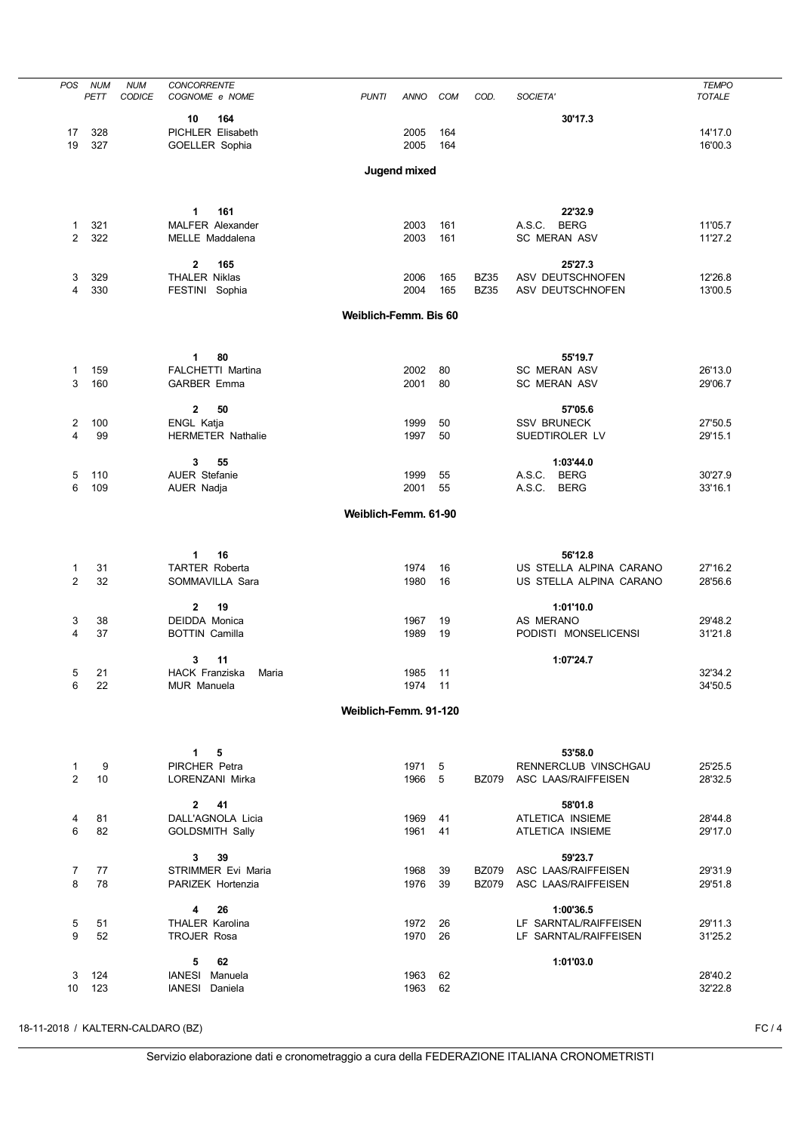| <b>POS</b>     | <b>NUM</b> | <b>NUM</b>    | <b>CONCORRENTE</b>       |                       |              |     |              |                         | <b>TEMPO</b>  |
|----------------|------------|---------------|--------------------------|-----------------------|--------------|-----|--------------|-------------------------|---------------|
|                | PETT       | <b>CODICE</b> | COGNOME e NOME           | <b>PUNTI</b>          | ANNO         | COM | COD.         | SOCIETA'                | <b>TOTALE</b> |
|                |            |               |                          |                       |              |     |              |                         |               |
|                |            |               | 164<br>10                |                       |              |     |              | 30'17.3                 |               |
| 17             | 328        |               | PICHLER Elisabeth        |                       | 2005         | 164 |              |                         | 14'17.0       |
| 19             | 327        |               | GOELLER Sophia           |                       | 2005         | 164 |              |                         | 16'00.3       |
|                |            |               |                          |                       |              |     |              |                         |               |
|                |            |               |                          |                       | Jugend mixed |     |              |                         |               |
|                |            |               |                          |                       |              |     |              |                         |               |
|                |            |               |                          |                       |              |     |              |                         |               |
|                |            |               |                          |                       |              |     |              |                         |               |
|                |            |               | 1<br>161                 |                       |              |     |              | 22'32.9                 |               |
| 1              | 321        |               | <b>MALFER Alexander</b>  |                       | 2003         | 161 |              | A.S.C. BERG             | 11'05.7       |
| 2              | 322        |               | MELLE Maddalena          |                       | 2003         | 161 |              | <b>SC MERAN ASV</b>     | 11'27.2       |
|                |            |               |                          |                       |              |     |              |                         |               |
|                |            |               | $\mathbf{2}$<br>165      |                       |              |     |              | 25'27.3                 |               |
| 3              | 329        |               | <b>THALER Niklas</b>     |                       | 2006         | 165 | <b>BZ35</b>  | ASV DEUTSCHNOFEN        | 12'26.8       |
| 4              | 330        |               | FESTINI Sophia           |                       | 2004         | 165 | <b>BZ35</b>  | ASV DEUTSCHNOFEN        | 13'00.5       |
|                |            |               |                          |                       |              |     |              |                         |               |
|                |            |               |                          | Weiblich-Femm. Bis 60 |              |     |              |                         |               |
|                |            |               |                          |                       |              |     |              |                         |               |
|                |            |               |                          |                       |              |     |              |                         |               |
|                |            |               |                          |                       |              |     |              |                         |               |
|                |            |               | 80<br>1                  |                       |              |     |              | 55'19.7                 |               |
| 1              | 159        |               | FALCHETTI Martina        |                       | 2002         | 80  |              | <b>SC MERAN ASV</b>     | 26'13.0       |
| 3              | 160        |               | <b>GARBER Emma</b>       |                       | 2001         | 80  |              | <b>SC MERAN ASV</b>     | 29'06.7       |
|                |            |               |                          |                       |              |     |              |                         |               |
|                |            |               | $\mathbf{2}$<br>50       |                       |              |     |              | 57'05.6                 |               |
| 2              | 100        |               | ENGL Katja               |                       | 1999         | 50  |              | <b>SSV BRUNECK</b>      | 27'50.5       |
| 4              | 99         |               | <b>HERMETER Nathalie</b> |                       | 1997         | 50  |              | SUEDTIROLER LV          | 29'15.1       |
|                |            |               |                          |                       |              |     |              |                         |               |
|                |            |               |                          |                       |              |     |              |                         |               |
|                |            |               | 3<br>55                  |                       |              |     |              | 1:03'44.0               |               |
| 5              | 110        |               | <b>AUER Stefanie</b>     |                       | 1999         | 55  |              | A.S.C.<br><b>BERG</b>   | 30'27.9       |
| 6              | 109        |               | AUER Nadja               |                       | 2001         | 55  |              | A.S.C.<br><b>BERG</b>   | 33'16.1       |
|                |            |               |                          |                       |              |     |              |                         |               |
|                |            |               |                          | Weiblich-Femm. 61-90  |              |     |              |                         |               |
|                |            |               |                          |                       |              |     |              |                         |               |
|                |            |               |                          |                       |              |     |              |                         |               |
|                |            |               | 1<br>16                  |                       |              |     |              | 56'12.8                 |               |
|                |            |               |                          |                       |              |     |              |                         |               |
| 1              | 31         |               | <b>TARTER Roberta</b>    |                       | 1974         | 16  |              | US STELLA ALPINA CARANO | 27'16.2       |
| $\overline{2}$ | 32         |               | SOMMAVILLA Sara          |                       | 1980         | 16  |              | US STELLA ALPINA CARANO | 28'56.6       |
|                |            |               |                          |                       |              |     |              |                         |               |
|                |            |               | $\mathbf 2$<br>19        |                       |              |     |              | 1:01'10.0               |               |
| 3              | 38         |               | <b>DEIDDA Monica</b>     |                       | 1967         | 19  |              | AS MERANO               | 29'48.2       |
| 4              | 37         |               | <b>BOTTIN Camilla</b>    |                       | 1989         | 19  |              | PODISTI MONSELICENSI    | 31'21.8       |
|                |            |               |                          |                       |              |     |              |                         |               |
|                |            |               | 3<br>11                  |                       |              |     |              | 1:07'24.7               |               |
| 5              | 21         |               | HACK Franziska<br>Maria  |                       | 1985 11      |     |              |                         | 32'34.2       |
|                |            |               |                          |                       |              |     |              |                         |               |
| 6              | 22         |               | <b>MUR Manuela</b>       |                       | 1974 11      |     |              |                         | 34'50.5       |
|                |            |               |                          |                       |              |     |              |                         |               |
|                |            |               |                          | Weiblich-Femm. 91-120 |              |     |              |                         |               |
|                |            |               |                          |                       |              |     |              |                         |               |
|                |            |               |                          |                       |              |     |              |                         |               |
|                |            |               | 1<br>5                   |                       |              |     |              | 53'58.0                 |               |
| 1              | 9          |               | PIRCHER Petra            |                       | 1971         | 5   |              | RENNERCLUB VINSCHGAU    | 25'25.5       |
| 2              | 10         |               | LORENZANI Mirka          |                       | 1966         | 5   | <b>BZ079</b> | ASC LAAS/RAIFFEISEN     | 28'32.5       |
|                |            |               |                          |                       |              |     |              |                         |               |
|                |            |               | $\overline{2}$<br>41     |                       |              |     |              | 58'01.8                 |               |
|                |            |               |                          |                       | 1969         |     |              | ATLETICA INSIEME        |               |
| 4              | 81         |               | DALL'AGNOLA Licia        |                       |              | 41  |              |                         | 28'44.8       |
| 6              | 82         |               | <b>GOLDSMITH Sally</b>   |                       | 1961         | 41  |              | ATLETICA INSIEME        | 29'17.0       |
|                |            |               |                          |                       |              |     |              |                         |               |
|                |            |               | 3<br>39                  |                       |              |     |              | 59'23.7                 |               |
| 7              | 77         |               | STRIMMER Evi Maria       |                       | 1968         | 39  | <b>BZ079</b> | ASC LAAS/RAIFFEISEN     | 29'31.9       |
| 8              | 78         |               | PARIZEK Hortenzia        |                       | 1976         | 39  | <b>BZ079</b> | ASC LAAS/RAIFFEISEN     | 29'51.8       |
|                |            |               |                          |                       |              |     |              |                         |               |
|                |            |               | 26<br>4                  |                       |              |     |              | 1:00'36.5               |               |
|                |            |               | <b>THALER Karolina</b>   |                       | 1972         |     |              | LF SARNTAL/RAIFFEISEN   |               |
| 5              | 51         |               |                          |                       |              | 26  |              |                         | 29'11.3       |
| 9              | 52         |               | <b>TROJER Rosa</b>       |                       | 1970         | 26  |              | LF SARNTAL/RAIFFEISEN   | 31'25.2       |
|                |            |               |                          |                       |              |     |              |                         |               |
|                |            |               | 5<br>62                  |                       |              |     |              | 1:01'03.0               |               |
| 3              | 124        |               | IANESI Manuela           |                       | 1963         | 62  |              |                         | 28'40.2       |
| 10             | 123        |               | IANESI Daniela           |                       | 1963         | 62  |              |                         | 32'22.8       |
|                |            |               |                          |                       |              |     |              |                         |               |

18-11-2018 / KALTERN-CALDARO (BZ) FC / 4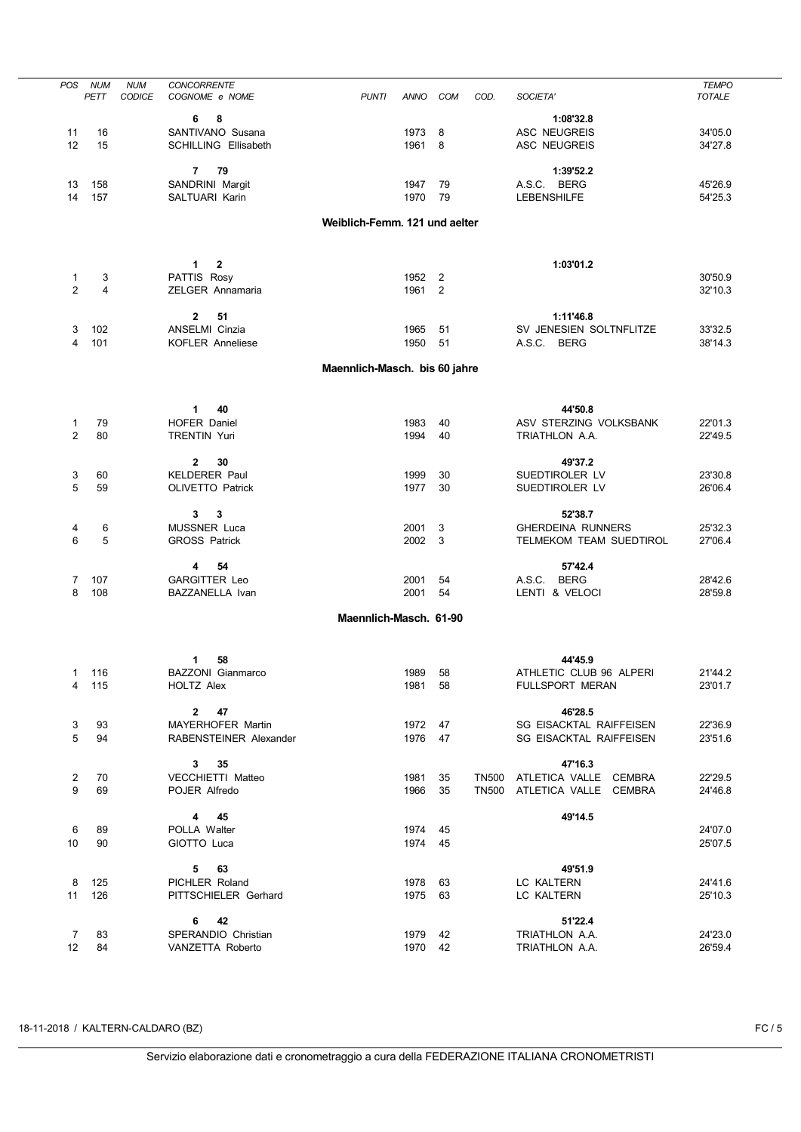| POS             | <b>NUM</b> | <b>NUM</b> | <b>CONCORRENTE</b>            |                               | <b>ANNO</b> |                |      |                             | <b>TEMPO</b>  |
|-----------------|------------|------------|-------------------------------|-------------------------------|-------------|----------------|------|-----------------------------|---------------|
|                 | PETT       | CODICE     | COGNOME e NOME                | <b>PUNTI</b>                  |             | <b>COM</b>     | COD. | SOCIETA'                    | <b>TOTALE</b> |
|                 |            |            | 6<br>8                        |                               |             |                |      | 1:08'32.8                   |               |
| 11              | 16         |            | SANTIVANO Susana              |                               | 1973        | 8              |      | <b>ASC NEUGREIS</b>         | 34'05.0       |
| 12              | 15         |            | <b>SCHILLING Ellisabeth</b>   |                               | 1961        | 8              |      | ASC NEUGREIS                | 34'27.8       |
|                 |            |            |                               |                               |             |                |      |                             |               |
|                 |            |            | 7<br>79                       |                               |             |                |      | 1:39'52.2                   |               |
|                 |            |            |                               |                               |             |                |      | A.S.C. BERG                 |               |
| 13              | 158        |            | SANDRINI Margit               |                               | 1947        | 79             |      |                             | 45'26.9       |
| 14              | 157        |            | SALTUARI Karin                |                               | 1970        | - 79           |      | <b>LEBENSHILFE</b>          | 54'25.3       |
|                 |            |            |                               | Weiblich-Femm. 121 und aelter |             |                |      |                             |               |
|                 |            |            |                               |                               |             |                |      |                             |               |
|                 |            |            |                               |                               |             |                |      |                             |               |
|                 |            |            |                               |                               |             |                |      |                             |               |
|                 |            |            | 1<br>$\mathbf{2}$             |                               |             |                |      | 1:03'01.2                   |               |
| 1               | 3          |            | PATTIS Rosy                   |                               | 1952        | $\overline{2}$ |      |                             | 30'50.9       |
| 2               | 4          |            | ZELGER Annamaria              |                               | 1961        | $\overline{2}$ |      |                             | 32'10.3       |
|                 |            |            |                               |                               |             |                |      |                             |               |
|                 |            |            | $\mathbf 2$<br>51             |                               |             |                |      | 1:11'46.8                   |               |
| 3               | 102        |            | ANSELMI Cinzia                |                               | 1965        | 51             |      | SV JENESIEN SOLTNFLITZE     | 33'32.5       |
| 4               | 101        |            | <b>KOFLER Anneliese</b>       |                               | 1950        | 51             |      | A.S.C. BERG                 | 38'14.3       |
|                 |            |            |                               |                               |             |                |      |                             |               |
|                 |            |            |                               | Maennlich-Masch. bis 60 jahre |             |                |      |                             |               |
|                 |            |            |                               |                               |             |                |      |                             |               |
|                 |            |            |                               |                               |             |                |      |                             |               |
|                 |            |            | 1<br>40                       |                               |             |                |      | 44'50.8                     |               |
| 1               | 79         |            | <b>HOFER Daniel</b>           |                               | 1983        | 40             |      | ASV STERZING VOLKSBANK      | 22'01.3       |
| $\overline{2}$  | 80         |            | <b>TRENTIN Yuri</b>           |                               | 1994        | 40             |      | TRIATHLON A.A.              | 22'49.5       |
|                 |            |            |                               |                               |             |                |      |                             |               |
|                 |            |            | $\mathbf 2$<br>30             |                               |             |                |      | 49'37.2                     |               |
| 3               | 60         |            | <b>KELDERER Paul</b>          |                               | 1999        | 30             |      | SUEDTIROLER LV              | 23'30.8       |
| 5               | 59         |            | OLIVETTO Patrick              |                               | 1977        | 30             |      | SUEDTIROLER LV              | 26'06.4       |
|                 |            |            |                               |                               |             |                |      |                             |               |
|                 |            |            | 3<br>3                        |                               |             |                |      | 52'38.7                     |               |
| 4               | 6          |            | <b>MUSSNER Luca</b>           |                               | 2001        | 3              |      | <b>GHERDEINA RUNNERS</b>    | 25'32.3       |
| 6               | 5          |            | <b>GROSS Patrick</b>          |                               | 2002        | 3              |      | TELMEKOM TEAM SUEDTIROL     | 27'06.4       |
|                 |            |            |                               |                               |             |                |      |                             |               |
|                 |            |            | 54<br>4                       |                               |             |                |      | 57'42.4                     |               |
| 7               | 107        |            | <b>GARGITTER Leo</b>          |                               | 2001        | 54             |      | A.S.C. BERG                 | 28'42.6       |
| 8               | 108        |            | BAZZANELLA Ivan               |                               | 2001        | 54             |      | LENTI & VELOCI              | 28'59.8       |
|                 |            |            |                               |                               |             |                |      |                             |               |
|                 |            |            |                               | Maennlich-Masch. 61-90        |             |                |      |                             |               |
|                 |            |            |                               |                               |             |                |      |                             |               |
|                 |            |            |                               |                               |             |                |      |                             |               |
|                 |            |            | 58<br>1                       |                               |             |                |      | 44'45.9                     |               |
|                 | 1 116      |            | BAZZONI Gianmarco             |                               | 1989        | 58             |      | ATHLETIC CLUB 96 ALPERI     | 21'44.2       |
| 4               | 115        |            | HOLTZ Alex                    |                               | 1981 58     |                |      | FULLSPORT MERAN             | 23'01.7       |
|                 |            |            |                               |                               |             |                |      |                             |               |
|                 |            |            | $2 \qquad 47$                 |                               |             |                |      | 46'28.5                     |               |
| 3               | 93         |            | MAYERHOFER Martin             |                               | 1972 47     |                |      | SG EISACKTAL RAIFFEISEN     | 22'36.9       |
| 5               | 94         |            | <b>RABENSTEINER Alexander</b> |                               | 1976 47     |                |      | SG EISACKTAL RAIFFEISEN     | 23'51.6       |
|                 |            |            |                               |                               |             |                |      |                             |               |
|                 |            |            | $3 \overline{\phantom{1}35}$  |                               |             |                |      | 47'16.3                     |               |
| $\overline{2}$  | 70         |            | VECCHIETTI Matteo             |                               | 1981 35     |                |      | TN500 ATLETICA VALLE CEMBRA | 22'29.5       |
| 9               | 69         |            | POJER Alfredo                 |                               | 1966 35     |                |      | TN500 ATLETICA VALLE CEMBRA | 24'46.8       |
|                 |            |            |                               |                               |             |                |      |                             |               |
|                 |            |            | 4 45                          |                               |             |                |      | 49'14.5                     |               |
| 6               | 89         |            | POLLA Walter                  |                               | 1974 45     |                |      |                             | 24'07.0       |
| 10              | 90         |            | GIOTTO Luca                   |                               | 1974 45     |                |      |                             | 25'07.5       |
|                 |            |            |                               |                               |             |                |      |                             |               |
|                 |            |            | $5$ 63                        |                               |             |                |      | 49'51.9                     |               |
| 8               | 125        |            | PICHLER Roland                |                               | 1978 63     |                |      | LC KALTERN                  | 24'41.6       |
| 11              | 126        |            | PITTSCHIELER Gerhard          |                               | 1975 63     |                |      | LC KALTERN                  | 25'10.3       |
|                 |            |            |                               |                               |             |                |      |                             |               |
|                 |            |            | 42<br>6                       |                               |             |                |      | 51'22.4                     |               |
| $\overline{7}$  | 83         |            | SPERANDIO Christian           |                               | 1979 42     |                |      | TRIATHLON A.A.              | 24'23.0       |
| 12 <sup>°</sup> | 84         |            | VANZETTA Roberto              |                               | 1970 42     |                |      | TRIATHLON A.A.              | 26'59.4       |
|                 |            |            |                               |                               |             |                |      |                             |               |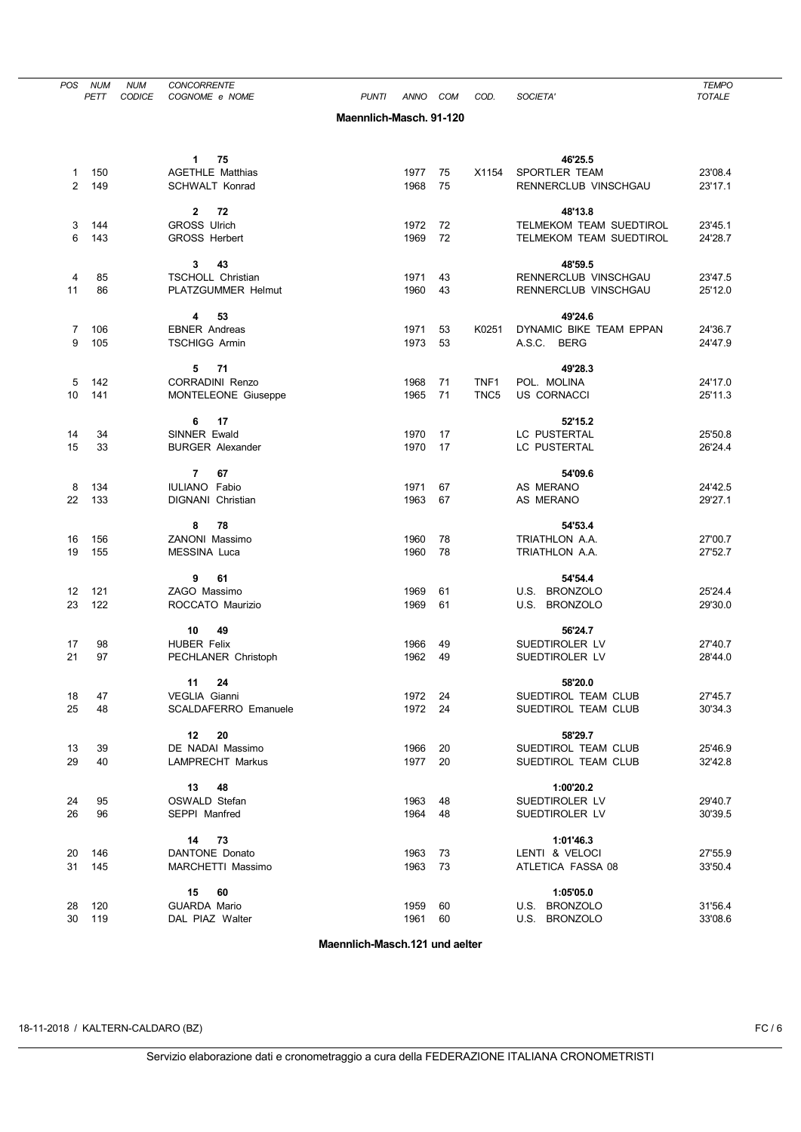| <b>POS</b>          | <b>NUM</b><br>PETT | <b>NUM</b><br><b>CODICE</b> | <b>CONCORRENTE</b><br>COGNOME e NOME                | <b>PUNTI</b>            | <b>ANNO</b>  | COM      | COD.             | SOCIETA'                                   | <b>TEMPO</b><br><b>TOTALE</b> |
|---------------------|--------------------|-----------------------------|-----------------------------------------------------|-------------------------|--------------|----------|------------------|--------------------------------------------|-------------------------------|
|                     |                    |                             |                                                     | Maennlich-Masch, 91-120 |              |          |                  |                                            |                               |
|                     |                    |                             |                                                     |                         |              |          |                  |                                            |                               |
|                     |                    |                             | 75<br>$1 -$                                         |                         |              |          |                  | 46'25.5                                    |                               |
| 1<br>$\overline{2}$ | 150<br>149         |                             | <b>AGETHLE Matthias</b><br><b>SCHWALT Konrad</b>    |                         | 1977<br>1968 | 75<br>75 | X1154            | SPORTLER TEAM<br>RENNERCLUB VINSCHGAU      | 23'08.4<br>23'17.1            |
|                     |                    |                             | $\mathbf{2}$<br>72                                  |                         |              |          |                  | 48'13.8                                    |                               |
| 3                   | 144                |                             | <b>GROSS Ulrich</b>                                 |                         | 1972         | 72       |                  | TELMEKOM TEAM SUEDTIROL                    | 23'45.1                       |
| 6                   | 143                |                             | GROSS Herbert                                       |                         | 1969         | 72       |                  | TELMEKOM TEAM SUEDTIROL                    | 24'28.7                       |
|                     |                    |                             | 3<br>43                                             |                         |              |          |                  | 48'59.5                                    |                               |
| 4                   | 85                 |                             | TSCHOLL Christian                                   |                         | 1971         | 43       |                  | RENNERCLUB VINSCHGAU                       | 23'47.5                       |
| 11                  | 86                 |                             | PLATZGUMMER Helmut                                  |                         | 1960         | 43       |                  | RENNERCLUB VINSCHGAU                       | 25'12.0                       |
| 7                   | 106                |                             | 53<br>4<br><b>EBNER Andreas</b>                     |                         | 1971         | 53       | K0251            | 49'24.6<br>DYNAMIC BIKE TEAM EPPAN         | 24'36.7                       |
| 9                   | 105                |                             | <b>TSCHIGG Armin</b>                                |                         | 1973         | 53       |                  | A.S.C.<br><b>BERG</b>                      | 24'47.9                       |
|                     |                    |                             |                                                     |                         |              |          |                  |                                            |                               |
|                     |                    |                             | 71<br>5                                             |                         |              |          |                  | 49'28.3                                    |                               |
| 5                   | 142                |                             | <b>CORRADINI Renzo</b>                              |                         | 1968         | 71       | TNF <sub>1</sub> | POL. MOLINA                                | 24'17.0                       |
| 10                  | 141                |                             | MONTELEONE Giuseppe                                 |                         | 1965         | 71       | TNC <sub>5</sub> | <b>US CORNACCI</b>                         | 25'11.3                       |
|                     |                    |                             | 17<br>6                                             |                         |              |          |                  | 52'15.2                                    |                               |
| 14                  | 34                 |                             | SINNER Ewald                                        |                         | 1970         | 17       |                  | LC PUSTERTAL                               | 25'50.8                       |
| 15                  | 33                 |                             | <b>BURGER Alexander</b>                             |                         | 1970         | 17       |                  | LC PUSTERTAL                               | 26'24.4                       |
|                     |                    |                             | 67<br>$\overline{7}$                                |                         |              |          |                  | 54'09.6                                    |                               |
| 8                   | 134                |                             | IULIANO Fabio                                       |                         | 1971         | 67       |                  | AS MERANO                                  | 24'42.5                       |
| 22                  | 133                |                             | DIGNANI Christian                                   |                         | 1963         | 67       |                  | AS MERANO                                  | 29'27.1                       |
|                     |                    |                             | 78<br>8                                             |                         |              |          |                  | 54'53.4                                    |                               |
| 16                  | 156                |                             | ZANONI Massimo                                      |                         | 1960         | 78       |                  | TRIATHLON A.A.                             | 27'00.7                       |
| 19                  | 155                |                             | <b>MESSINA Luca</b>                                 |                         | 1960         | 78       |                  | TRIATHLON A.A.                             | 27'52.7                       |
|                     |                    |                             | 61<br>9                                             |                         |              |          |                  | 54'54.4                                    |                               |
| 12                  | 121                |                             | ZAGO Massimo                                        |                         | 1969         | 61       |                  | U.S. BRONZOLO                              | 25'24.4                       |
| 23                  | 122                |                             | ROCCATO Maurizio                                    |                         | 1969         | 61       |                  | U.S. BRONZOLO                              | 29'30.0                       |
|                     |                    |                             | 49<br>10                                            |                         |              |          |                  | 56'24.7                                    |                               |
| 17                  | 98                 |                             | <b>HUBER Felix</b>                                  |                         | 1966         | 49       |                  | SUEDTIROLER LV                             | 27'40.7                       |
| 21                  | 97                 |                             | PECHLANER Christoph                                 |                         | 1962         | 49       |                  | SUEDTIROLER LV                             | 28'44.0                       |
|                     |                    |                             | 24<br>11                                            |                         |              |          |                  | 58'20.0                                    |                               |
| 18<br>25            | 47<br>48           |                             | <b>VEGLIA Gianni</b><br><b>SCALDAFERRO Emanuele</b> |                         | 1972<br>1972 | 24<br>24 |                  | SUEDTIROL TEAM CLUB<br>SUEDTIROL TEAM CLUB | 27'45.7                       |
|                     |                    |                             |                                                     |                         |              |          |                  |                                            | 30'34.3                       |
|                     |                    |                             | 20<br>12 <sup>12</sup>                              |                         |              |          |                  | 58'29.7                                    |                               |
| 13                  | 39                 |                             | DE NADAI Massimo                                    |                         | 1966         | 20       |                  | SUEDTIROL TEAM CLUB                        | 25'46.9                       |
| 29                  | 40                 |                             | LAMPRECHT Markus                                    |                         | 1977         | 20       |                  | SUEDTIROL TEAM CLUB                        | 32'42.8                       |
|                     |                    |                             | 13<br>48                                            |                         |              |          |                  | 1:00'20.2                                  |                               |
| 24                  | 95                 |                             | OSWALD Stefan                                       |                         | 1963         | 48       |                  | SUEDTIROLER LV                             | 29'40.7                       |
| 26                  | 96                 |                             | SEPPI Manfred                                       |                         | 1964         | 48       |                  | SUEDTIROLER LV                             | 30'39.5                       |
|                     |                    |                             | 73<br>14                                            |                         |              |          |                  | 1:01'46.3                                  |                               |
| 20<br>31            | 146<br>145         |                             | DANTONE Donato<br>MARCHETTI Massimo                 |                         | 1963<br>1963 | 73<br>73 |                  | LENTI & VELOCI<br>ATLETICA FASSA 08        | 27'55.9<br>33'50.4            |
|                     |                    |                             |                                                     |                         |              |          |                  |                                            |                               |
|                     |                    |                             | 15<br>60                                            |                         |              |          |                  | 1:05'05.0                                  |                               |
| 28                  | 120                |                             | <b>GUARDA Mario</b>                                 |                         | 1959         | 60       |                  | U.S. BRONZOLO                              | 31'56.4                       |
| 30                  | 119                |                             | DAL PIAZ Walter                                     |                         | 1961         | 60       |                  | U.S. BRONZOLO                              | 33'08.6                       |

Maennlich-Masch.121 und aelter

18-11-2018 / KALTERN-CALDARO (BZ) FC / 6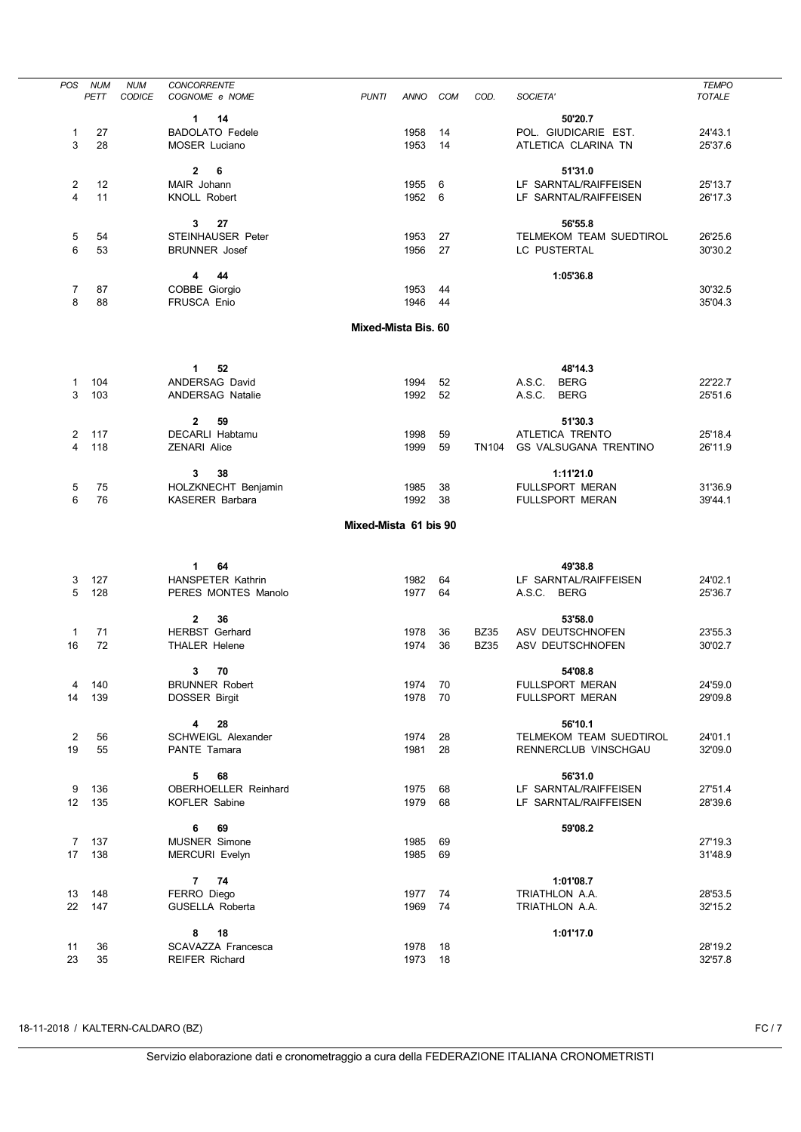| <b>POS</b>      | <b>NUM</b><br>PETT | <b>NUM</b><br>CODICE | <b>CONCORRENTE</b><br>COGNOME e NOME           | <b>PUNTI</b>          | ANNO         | <b>COM</b> | COD.         | SOCIETA'                                    | <b>TEMPO</b><br><b>TOTALE</b> |
|-----------------|--------------------|----------------------|------------------------------------------------|-----------------------|--------------|------------|--------------|---------------------------------------------|-------------------------------|
|                 |                    |                      |                                                |                       |              |            |              |                                             |                               |
|                 |                    |                      | 14<br>1                                        |                       |              |            |              | 50'20.7                                     |                               |
| 1<br>3          | 27<br>28           |                      | <b>BADOLATO Fedele</b><br><b>MOSER Luciano</b> |                       | 1958<br>1953 | 14<br>14   |              | POL. GIUDICARIE EST.<br>ATLETICA CLARINA TN | 24'43.1<br>25'37.6            |
|                 |                    |                      |                                                |                       |              |            |              |                                             |                               |
|                 |                    |                      | $\mathbf{2}$<br>6                              |                       |              |            |              | 51'31.0                                     |                               |
| 2               | 12                 |                      | MAIR Johann                                    |                       | 1955         | 6          |              | LF SARNTAL/RAIFFEISEN                       | 25'13.7                       |
| 4               | 11                 |                      | <b>KNOLL Robert</b>                            |                       | 1952         | 6          |              | LF SARNTAL/RAIFFEISEN                       | 26'17.3                       |
|                 |                    |                      |                                                |                       |              |            |              |                                             |                               |
|                 |                    |                      | 27<br>3                                        |                       |              |            |              | 56'55.8                                     |                               |
| 5               | 54                 |                      | <b>STEINHAUSER Peter</b>                       |                       | 1953         | 27         |              | TELMEKOM TEAM SUEDTIROL                     | 26'25.6                       |
| 6               | 53                 |                      | <b>BRUNNER</b> Josef                           |                       | 1956         | 27         |              | LC PUSTERTAL                                | 30'30.2                       |
|                 |                    |                      |                                                |                       |              |            |              |                                             |                               |
|                 |                    |                      | 4<br>44                                        |                       |              |            |              | 1:05'36.8                                   |                               |
| 7               | 87                 |                      | COBBE Giorgio                                  |                       | 1953         | 44         |              |                                             | 30'32.5                       |
| 8               | 88                 |                      | FRUSCA Enio                                    |                       | 1946         | 44         |              |                                             | 35'04.3                       |
|                 |                    |                      |                                                | Mixed-Mista Bis, 60   |              |            |              |                                             |                               |
|                 |                    |                      |                                                |                       |              |            |              |                                             |                               |
|                 |                    |                      | 52<br>$\mathbf 1$                              |                       |              |            |              | 48'14.3                                     |                               |
| 1               | 104                |                      | ANDERSAG David                                 |                       | 1994         | 52         |              | A.S.C.<br><b>BERG</b>                       | 22'22.7                       |
| 3               | 103                |                      | <b>ANDERSAG Natalie</b>                        |                       | 1992         | 52         |              | A.S.C.<br><b>BERG</b>                       | 25'51.6                       |
|                 |                    |                      |                                                |                       |              |            |              |                                             |                               |
|                 |                    |                      | $\mathbf{2}$<br>59                             |                       |              |            |              | 51'30.3                                     |                               |
| 2               | 117                |                      | DECARLI Habtamu                                |                       | 1998         | 59         |              | ATLETICA TRENTO                             | 25'18.4                       |
| 4               | 118                |                      | <b>ZENARI Alice</b>                            |                       | 1999         | 59         | <b>TN104</b> | <b>GS VALSUGANA TRENTINO</b>                | 26'11.9                       |
|                 |                    |                      | 3<br>38                                        |                       |              |            |              | 1:11'21.0                                   |                               |
| 5               | 75                 |                      | HOLZKNECHT Benjamin                            |                       | 1985         | 38         |              | FULLSPORT MERAN                             | 31'36.9                       |
| 6               | 76                 |                      | <b>KASERER Barbara</b>                         |                       | 1992         | 38         |              | FULLSPORT MERAN                             | 39'44.1                       |
|                 |                    |                      |                                                |                       |              |            |              |                                             |                               |
|                 |                    |                      |                                                | Mixed-Mista 61 bis 90 |              |            |              |                                             |                               |
|                 |                    |                      | 64<br>1                                        |                       |              |            |              | 49'38.8                                     |                               |
| 3               | 127                |                      | <b>HANSPETER Kathrin</b>                       |                       | 1982         | 64         |              | LF SARNTAL/RAIFFEISEN                       | 24'02.1                       |
| 5               | 128                |                      | PERES MONTES Manolo                            |                       | 1977         | 64         |              | A.S.C. BERG                                 | 25'36.7                       |
|                 |                    |                      |                                                |                       |              |            |              |                                             |                               |
|                 |                    |                      | $\mathbf{2}$<br>36                             |                       |              |            |              | 53'58.0                                     |                               |
| 1               | 71                 |                      | <b>HERBST Gerhard</b>                          |                       | 1978         | 36         | <b>BZ35</b>  | ASV DEUTSCHNOFEN                            | 23'55.3                       |
| 16              | 72                 |                      | <b>THALER Helene</b>                           |                       | 1974         | 36         | <b>BZ35</b>  | ASV DEUTSCHNOFEN                            | 30'02.7                       |
|                 |                    |                      |                                                |                       |              |            |              |                                             |                               |
|                 |                    |                      | 70<br>3                                        |                       |              |            |              | 54'08.8                                     |                               |
| 4               | 140                |                      | <b>BRUNNER Robert</b>                          |                       | 1974         | 70         |              | FULLSPORT MERAN                             | 24'59.0                       |
| 14              | 139                |                      | DOSSER Birgit                                  |                       | 1978         | 70         |              | FULLSPORT MERAN                             | 29'09.8                       |
|                 |                    |                      | 28                                             |                       |              |            |              | 56'10.1                                     |                               |
| 2               | 56                 |                      | 4<br><b>SCHWEIGL Alexander</b>                 |                       | 1974         | 28         |              | TELMEKOM TEAM SUEDTIROL                     | 24'01.1                       |
| 19              | 55                 |                      | PANTE Tamara                                   |                       | 1981         | 28         |              | RENNERCLUB VINSCHGAU                        | 32'09.0                       |
|                 |                    |                      |                                                |                       |              |            |              |                                             |                               |
|                 |                    |                      | 5<br>68                                        |                       |              |            |              | 56'31.0                                     |                               |
| 9               | 136                |                      | <b>OBERHOELLER Reinhard</b>                    |                       | 1975         | 68         |              | LF SARNTAL/RAIFFEISEN                       | 27'51.4                       |
| 12 <sup>°</sup> | 135                |                      | KOFLER Sabine                                  |                       | 1979         | 68         |              | LF SARNTAL/RAIFFEISEN                       | 28'39.6                       |
|                 |                    |                      |                                                |                       |              |            |              |                                             |                               |
|                 |                    |                      | 69<br>6                                        |                       |              |            |              | 59'08.2                                     |                               |
| $\overline{7}$  | 137                |                      | <b>MUSNER Simone</b>                           |                       | 1985         | 69         |              |                                             | 27'19.3                       |
| 17              | 138                |                      | <b>MERCURI Evelyn</b>                          |                       | 1985         | 69         |              |                                             | 31'48.9                       |
|                 |                    |                      |                                                |                       |              |            |              |                                             |                               |
|                 |                    |                      | $\overline{7}$<br>74                           |                       |              |            |              | 1:01'08.7                                   |                               |
| 13              | 148                |                      | FERRO Diego                                    |                       | 1977         | 74         |              | TRIATHLON A.A.                              | 28'53.5                       |
| 22              | 147                |                      | GUSELLA Roberta                                |                       | 1969         | 74         |              | TRIATHLON A.A.                              | 32'15.2                       |
|                 |                    |                      | 18<br>8                                        |                       |              |            |              | 1:01'17.0                                   |                               |
| 11              | 36                 |                      | SCAVAZZA Francesca                             |                       | 1978         | 18         |              |                                             | 28'19.2                       |
| 23              | 35                 |                      | <b>REIFER Richard</b>                          |                       | 1973 18      |            |              |                                             | 32'57.8                       |
|                 |                    |                      |                                                |                       |              |            |              |                                             |                               |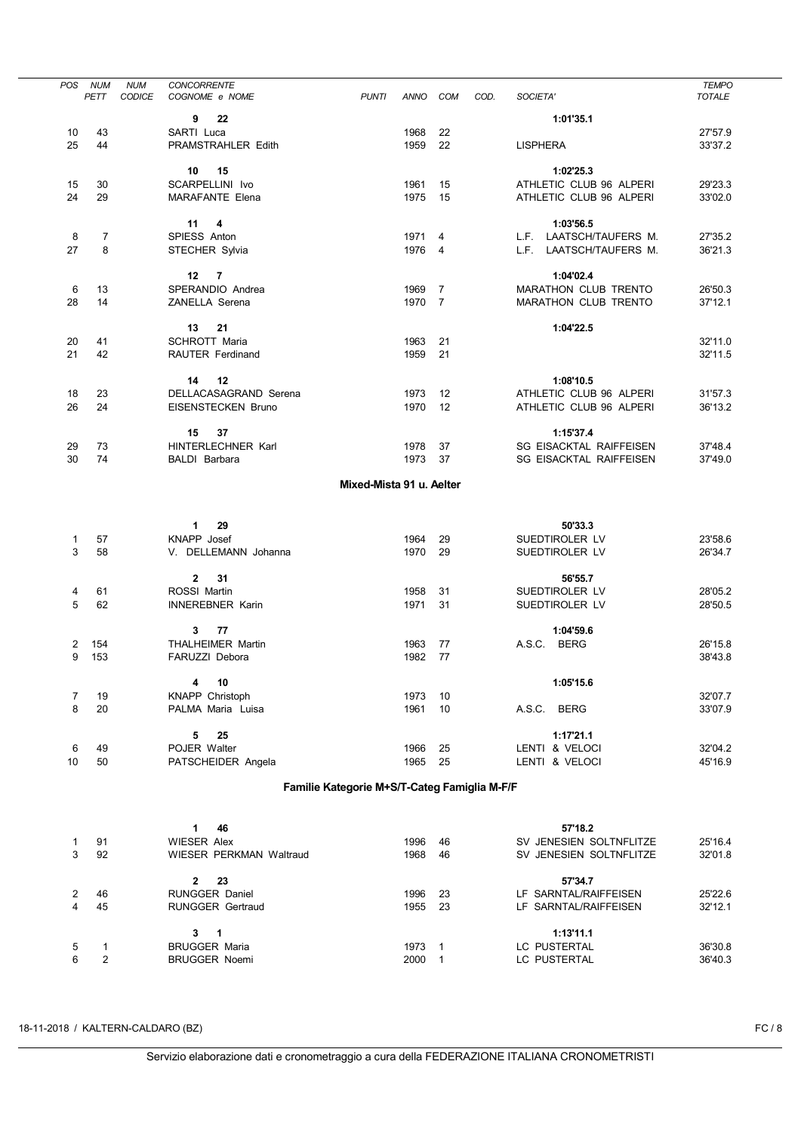| <b>POS</b>     | <b>NUM</b>                   | <b>NUM</b>    | <b>CONCORRENTE</b>                      |                                              |              |                |      |                                             | <b>TEMPO</b>       |
|----------------|------------------------------|---------------|-----------------------------------------|----------------------------------------------|--------------|----------------|------|---------------------------------------------|--------------------|
|                | PETT                         | <b>CODICE</b> | COGNOME e NOME                          | <b>PUNTI</b>                                 | ANNO         | COM            | COD. | SOCIETA'                                    | <b>TOTALE</b>      |
|                |                              |               | 22<br>9                                 |                                              |              |                |      | 1:01'35.1                                   |                    |
| 10             | 43                           |               | SARTI Luca                              |                                              | 1968         | 22             |      |                                             | 27'57.9            |
| 25             | 44                           |               | PRAMSTRAHLER Edith                      |                                              | 1959         | 22             |      | <b>LISPHERA</b>                             | 33'37.2            |
|                |                              |               |                                         |                                              |              |                |      |                                             |                    |
|                |                              |               | 10<br>15                                |                                              |              |                |      | 1:02'25.3                                   |                    |
| 15<br>24       | 30<br>29                     |               | SCARPELLINI Ivo                         |                                              | 1961         | 15             |      | ATHLETIC CLUB 96 ALPERI                     | 29'23.3            |
|                |                              |               | <b>MARAFANTE Elena</b>                  |                                              | 1975         | 15             |      | ATHLETIC CLUB 96 ALPERI                     | 33'02.0            |
|                |                              |               | 11<br>4                                 |                                              |              |                |      | 1:03'56.5                                   |                    |
| 8              | 7                            |               | SPIESS Anton                            |                                              | 1971 4       |                |      | L.F. LAATSCH/TAUFERS M.                     | 27'35.2            |
| 27             | 8                            |               | STECHER Sylvia                          |                                              | 1976 4       |                |      | L.F. LAATSCH/TAUFERS M.                     | 36'21.3            |
|                |                              |               |                                         |                                              |              |                |      |                                             |                    |
|                |                              |               | $\overline{7}$<br>12 <sup>12</sup>      |                                              |              |                |      | 1:04'02.4                                   |                    |
| 6              | 13                           |               | SPERANDIO Andrea                        |                                              | 1969 7       |                |      | MARATHON CLUB TRENTO                        | 26'50.3            |
| 28             | 14                           |               | ZANELLA Serena                          |                                              | 1970 7       |                |      | MARATHON CLUB TRENTO                        | 37'12.1            |
|                |                              |               | 13<br>21                                |                                              |              |                |      | 1:04'22.5                                   |                    |
| 20             | 41                           |               | SCHROTT Maria                           |                                              | 1963         | 21             |      |                                             | 32'11.0            |
| 21             | 42                           |               | RAUTER Ferdinand                        |                                              | 1959         | 21             |      |                                             | 32'11.5            |
|                |                              |               |                                         |                                              |              |                |      |                                             |                    |
|                |                              |               | 14<br>12                                |                                              |              |                |      | 1:08'10.5                                   |                    |
| 18             | 23                           |               | DELLACASAGRAND Serena                   |                                              | 1973         | 12             |      | ATHLETIC CLUB 96 ALPERI                     | 31'57.3            |
| 26             | 24                           |               | EISENSTECKEN Bruno                      |                                              | 1970         | 12             |      | ATHLETIC CLUB 96 ALPERI                     | 36'13.2            |
|                |                              |               |                                         |                                              |              |                |      |                                             |                    |
|                | 73                           |               | 37<br>15<br>HINTERLECHNER Karl          |                                              | 1978         | 37             |      | 1:15'37.4<br><b>SG EISACKTAL RAIFFEISEN</b> |                    |
| 29<br>30       | 74                           |               | BALDI Barbara                           |                                              | 1973         | 37             |      | <b>SG EISACKTAL RAIFFEISEN</b>              | 37'48.4<br>37'49.0 |
|                |                              |               |                                         |                                              |              |                |      |                                             |                    |
|                |                              |               |                                         | Mixed-Mista 91 u. Aelter                     |              |                |      |                                             |                    |
|                |                              |               |                                         |                                              |              |                |      |                                             |                    |
|                |                              |               |                                         |                                              |              |                |      |                                             |                    |
| $\mathbf{1}$   | 57                           |               | $\mathbf 1$<br>29<br><b>KNAPP</b> Josef |                                              | 1964         | 29             |      | 50'33.3<br>SUEDTIROLER LV                   | 23'58.6            |
| 3              | 58                           |               | V. DELLEMANN Johanna                    |                                              | 1970         | 29             |      | SUEDTIROLER LV                              | 26'34.7            |
|                |                              |               |                                         |                                              |              |                |      |                                             |                    |
|                |                              |               | 31<br>$\mathbf{2}$                      |                                              |              |                |      | 56'55.7                                     |                    |
| 4              | 61                           |               | ROSSI Martin                            |                                              | 1958         | 31             |      | SUEDTIROLER LV                              | 28'05.2            |
| 5              | 62                           |               | <b>INNEREBNER Karin</b>                 |                                              | 1971         | 31             |      | SUEDTIROLER LV                              | 28'50.5            |
|                |                              |               |                                         |                                              |              |                |      |                                             |                    |
| 2              | 154                          |               | 77<br>$3^{\circ}$<br>THALHEIMER Martin  |                                              | 1963         |                |      | 1:04'59.6<br>A.S.C. BERG                    | 26'15.8            |
| 9              | 153                          |               | FARUZZI Debora                          |                                              | 1982         | 77<br>77       |      |                                             | 38'43.8            |
|                |                              |               |                                         |                                              |              |                |      |                                             |                    |
|                |                              |               | 4<br>10                                 |                                              |              |                |      | 1:05'15.6                                   |                    |
| 7              | 19                           |               | KNAPP Christoph                         |                                              | 1973         | 10             |      |                                             | 32'07.7            |
| 8              | 20                           |               | PALMA Maria Luisa                       |                                              | 1961         | 10             |      | A.S.C. BERG                                 | 33'07.9            |
|                |                              |               |                                         |                                              |              |                |      |                                             |                    |
|                |                              |               | 25<br>5                                 |                                              |              |                |      | 1:17'21.1                                   |                    |
| 6<br>10        | 49<br>50                     |               | POJER Walter                            |                                              | 1966<br>1965 | 25<br>25       |      | LENTI & VELOCI                              | 32'04.2<br>45'16.9 |
|                |                              |               | PATSCHEIDER Angela                      |                                              |              |                |      | LENTI & VELOCI                              |                    |
|                |                              |               |                                         | Familie Kategorie M+S/T-Categ Famiglia M-F/F |              |                |      |                                             |                    |
|                |                              |               |                                         |                                              |              |                |      |                                             |                    |
|                |                              |               |                                         |                                              |              |                |      |                                             |                    |
| 1              | 91                           |               | 46<br>1<br><b>WIESER Alex</b>           |                                              | 1996         | 46             |      | 57'18.2<br>SV JENESIEN SOLTNFLITZE          | 25'16.4            |
| 3              | 92                           |               | WIESER PERKMAN Waltraud                 |                                              | 1968         | 46             |      | SV JENESIEN SOLTNFLITZE                     | 32'01.8            |
|                |                              |               |                                         |                                              |              |                |      |                                             |                    |
|                |                              |               | $\mathbf{2}$<br>23                      |                                              |              |                |      | 57'34.7                                     |                    |
| 2              | 46                           |               | <b>RUNGGER Daniel</b>                   |                                              | 1996         | 23             |      | LF SARNTAL/RAIFFEISEN                       | 25'22.6            |
| $\overline{4}$ | 45                           |               | <b>RUNGGER Gertraud</b>                 |                                              | 1955         | 23             |      | LF SARNTAL/RAIFFEISEN                       | 32'12.1            |
|                |                              |               |                                         |                                              |              |                |      |                                             |                    |
|                |                              |               | 3<br>1                                  |                                              |              |                |      | 1:13'11.1                                   |                    |
| 5<br>6         | 1<br>$\overline{\mathbf{c}}$ |               | <b>BRUGGER Maria</b>                    |                                              | 1973         | $\overline{1}$ |      | LC PUSTERTAL                                | 36'30.8            |
|                |                              |               | <b>BRUGGER Noemi</b>                    |                                              | 2000 1       |                |      | LC PUSTERTAL                                | 36'40.3            |